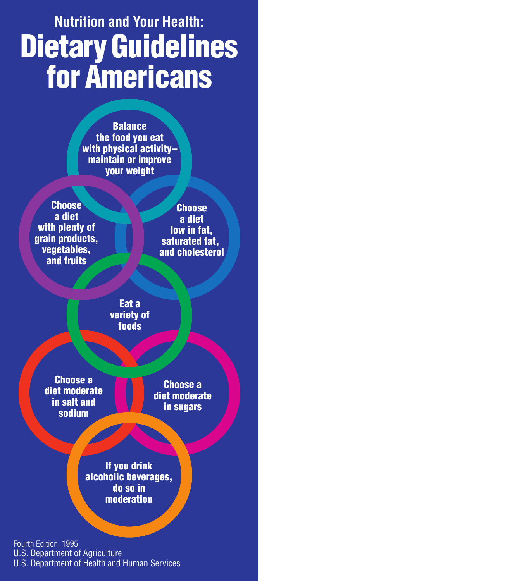# **Nutrition and Your Health:** Dietary Guidelines for Americans

**Balance** the food you eat with physical activity– maintain or improve your weight

**Choose** a diet with plenty of grain products, vegetables, and fruits

**Choose** a diet low in fat, saturated fat, and cholesterol

Eat a variety of foods

Choose a diet moderate in salt and sodium

Choose a diet moderate in sugars

If you drink alcoholic beverages, do so in moderation

Fourth Edition, 1995 U.S. Department of Agriculture U.S. Department of Health and Human Services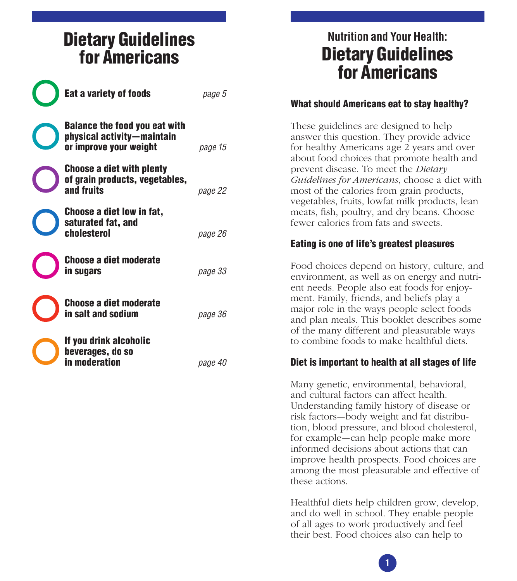## Dietary Guidelines for Americans

| <b>Eat a variety of foods</b>                                                                | page 5  |
|----------------------------------------------------------------------------------------------|---------|
| <b>Balance the food you eat with</b><br>physical activity—maintain<br>or improve your weight | page 15 |
| <b>Choose a diet with plenty</b><br>of grain products, vegetables,<br>and fruits             | page 22 |
| Choose a diet low in fat,<br>saturated fat, and<br>cholesterol                               | page 26 |
| <b>Choose a diet moderate</b><br>in sugars                                                   | page 33 |
| <b>Choose a diet moderate</b><br>in salt and sodium                                          | page 36 |
| If you drink alcoholic<br>beverages, do so<br>in moderation                                  | page 40 |

## **Nutrition and Your Health:**  Dietary Guidelines for Americans

## What should Americans eat to stay healthy?

These guidelines are designed to help answer this question. They provide advice for healthy Americans age 2 years and over about food choices that promote health and prevent disease. To meet the *Dietary Guidelines for Americans*, choose a diet with most of the calories from grain products, vegetables, fruits, lowfat milk products, lean meats, fish, poultry, and dry beans. Choose fewer calories from fats and sweets.

## Eating is one of life's greatest pleasures

Food choices depend on history, culture, and environment, as well as on energy and nutrient needs. People also eat foods for enjoyment. Family, friends, and beliefs play a major role in the ways people select foods and plan meals. This booklet describes some of the many different and pleasurable ways to combine foods to make healthful diets.

## Diet is important to health at all stages of life

Many genetic, environmental, behavioral, and cultural factors can affect health. Understanding family history of disease or risk factors—body weight and fat distribution, blood pressure, and blood cholesterol, for example—can help people make more informed decisions about actions that can improve health prospects. Food choices are among the most pleasurable and effective of these actions.

Healthful diets help children grow, develop, and do well in school. They enable people of all ages to work productively and feel their best. Food choices also can help to

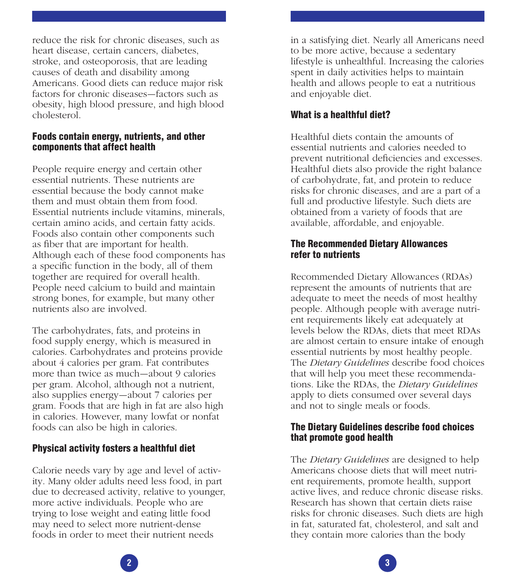reduce the risk for chronic diseases, such as heart disease, certain cancers, diabetes, stroke, and osteoporosis, that are leading causes of death and disability among Americans. Good diets can reduce major risk factors for chronic diseases—factors such as obesity, high blood pressure, and high blood cholesterol.

## Foods contain energy, nutrients, and other components that affect health

People require energy and certain other essential nutrients. These nutrients are essential because the body cannot make them and must obtain them from food. Essential nutrients include vitamins, minerals, certain amino acids, and certain fatty acids. Foods also contain other components such as fiber that are important for health. Although each of these food components has a specific function in the body, all of them together are required for overall health. People need calcium to build and maintain strong bones, for example, but many other nutrients also are involved.

The carbohydrates, fats, and proteins in food supply energy, which is measured in calories. Carbohydrates and proteins provide about 4 calories per gram. Fat contributes more than twice as much—about 9 calories per gram. Alcohol, although not a nutrient, also supplies energy—about 7 calories per gram. Foods that are high in fat are also high in calories. However, many lowfat or nonfat foods can also be high in calories.

## Physical activity fosters a healthful diet

Calorie needs vary by age and level of activity. Many older adults need less food, in part due to decreased activity, relative to younger, more active individuals. People who are trying to lose weight and eating little food may need to select more nutrient-dense foods in order to meet their nutrient needs

in a satisfying diet. Nearly all Americans need to be more active, because a sedentary lifestyle is unhealthful. Increasing the calories spent in daily activities helps to maintain health and allows people to eat a nutritious and enjoyable diet.

## What is a healthful diet?

Healthful diets contain the amounts of essential nutrients and calories needed to prevent nutritional deficiencies and excesses. Healthful diets also provide the right balance of carbohydrate, fat, and protein to reduce risks for chronic diseases, and are a part of a full and productive lifestyle. Such diets are obtained from a variety of foods that are available, affordable, and enjoyable.

## The Recommended Dietary Allowances refer to nutrients

Recommended Dietary Allowances (RDAs) represent the amounts of nutrients that are adequate to meet the needs of most healthy people. Although people with average nutrient requirements likely eat adequately at levels below the RDAs, diets that meet RDAs are almost certain to ensure intake of enough essential nutrients by most healthy people. The *Dietary Guidelines* describe food choices that will help you meet these recommendations. Like the RDAs, the *Dietary Guidelines* apply to diets consumed over several days and not to single meals or foods.

## The Dietary Guidelines describe food choices that promote good health

The *Dietary Guidelines* are designed to help Americans choose diets that will meet nutrient requirements, promote health, support active lives, and reduce chronic disease risks. Research has shown that certain diets raise risks for chronic diseases. Such diets are high in fat, saturated fat, cholesterol, and salt and they contain more calories than the body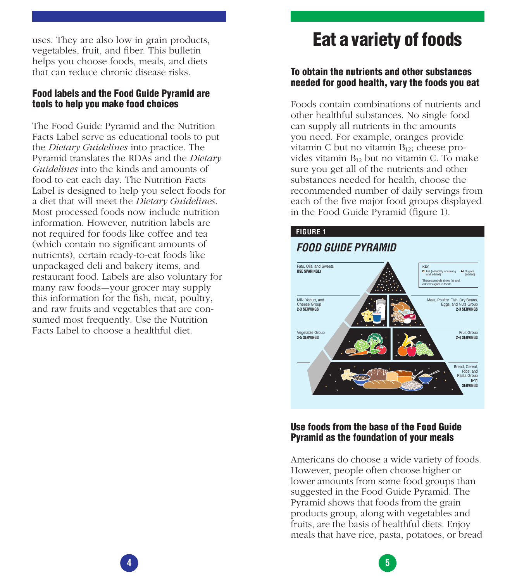uses. They are also low in grain products, vegetables, fruit, and fiber. This bulletin helps you choose foods, meals, and diets that can reduce chronic disease risks.

## Food labels and the Food Guide Pyramid are tools to help you make food choices

The Food Guide Pyramid and the Nutrition Facts Label serve as educational tools to put the *Dietary Guidelines* into practice. The Pyramid translates the RDAs and the *Dietary Guidelines* into the kinds and amounts of food to eat each day. The Nutrition Facts Label is designed to help you select foods for a diet that will meet the *Dietary Guidelines*. Most processed foods now include nutrition information. However, nutrition labels are not required for foods like coffee and tea (which contain no significant amounts of nutrients), certain ready-to-eat foods like unpackaged deli and bakery items, and restaurant food. Labels are also voluntary for many raw foods—your grocer may supply this information for the fish, meat, poultry, and raw fruits and vegetables that are consumed most frequently. Use the Nutrition Facts Label to choose a healthful diet.

## Eat a variety of foods

## To obtain the nutrients and other substances needed for good health, vary the foods you eat

Foods contain combinations of nutrients and other healthful substances. No single food can supply all nutrients in the amounts you need. For example, oranges provide vitamin C but no vitamin  $B_{12}$ ; cheese provides vitamin B12 but no vitamin C. To make sure you get all of the nutrients and other substances needed for health, choose the recommended number of daily servings from each of the five major food groups displayed in the Food Guide Pyramid (figure 1).

#### **FIGURE 1**

## **FOOD GUIDE PYRAMID**



## Use foods from the base of the Food Guide Pyramid as the foundation of your meals

Americans do choose a wide variety of foods. However, people often choose higher or lower amounts from some food groups than suggested in the Food Guide Pyramid. The Pyramid shows that foods from the grain products group, along with vegetables and fruits, are the basis of healthful diets. Enjoy meals that have rice, pasta, potatoes, or bread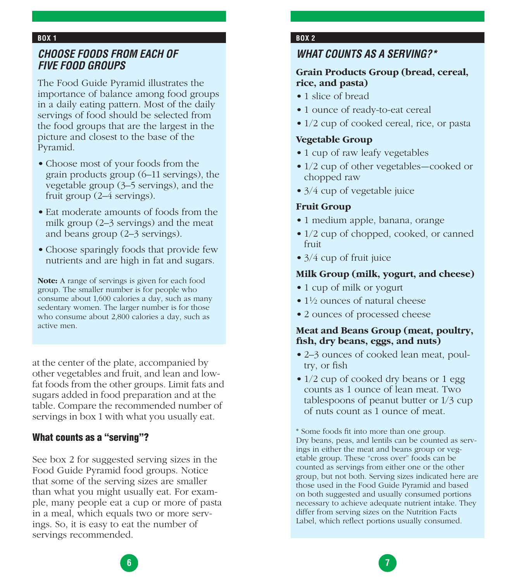#### **BOX 1**

## **CHOOSE FOODS FROM EACH OF FIVE FOOD GROUPS**

The Food Guide Pyramid illustrates the importance of balance among food groups in a daily eating pattern. Most of the daily servings of food should be selected from the food groups that are the largest in the picture and closest to the base of the Pyramid.

- Choose most of your foods from the grain products group (6–11 servings), the vegetable group (3–5 servings), and the fruit group (2–4 servings).
- Eat moderate amounts of foods from the milk group (2–3 servings) and the meat and beans group (2–3 servings).
- Choose sparingly foods that provide few nutrients and are high in fat and sugars.

**Note:** A range of servings is given for each food group. The smaller number is for people who consume about 1,600 calories a day, such as many sedentary women. The larger number is for those who consume about 2,800 calories a day, such as active men.

at the center of the plate, accompanied by other vegetables and fruit, and lean and lowfat foods from the other groups. Limit fats and sugars added in food preparation and at the table. Compare the recommended number of servings in box 1 with what you usually eat.

## What counts as a "serving"?

See box 2 for suggested serving sizes in the Food Guide Pyramid food groups. Notice that some of the serving sizes are smaller than what you might usually eat. For example, many people eat a cup or more of pasta in a meal, which equals two or more servings. So, it is easy to eat the number of servings recommended.

#### **BOX 2**

## **WHAT COUNTS AS A SERVING?\***

### **Grain Products Group (bread, cereal, rice, and pasta)**

- 1 slice of bread
- 1 ounce of ready-to-eat cereal
- 1/2 cup of cooked cereal, rice, or pasta

## **Vegetable Group**

- 1 cup of raw leafy vegetables
- 1/2 cup of other vegetables—cooked or chopped raw
- 3/4 cup of vegetable juice

## **Fruit Group**

- 1 medium apple, banana, orange
- 1/2 cup of chopped, cooked, or canned fruit
- 3/4 cup of fruit juice

## **Milk Group (milk, yogurt, and cheese)**

- 1 cup of milk or yogurt
- $1\frac{1}{2}$  ounces of natural cheese
- 2 ounces of processed cheese

## **Meat and Beans Group (meat, poultry, fish, dry beans, eggs, and nuts)**

- 2–3 ounces of cooked lean meat, poultry, or fish
- 1/2 cup of cooked dry beans or 1 egg counts as 1 ounce of lean meat. Two tablespoons of peanut butter or 1/3 cup of nuts count as 1 ounce of meat.

\* Some foods fit into more than one group. Dry beans, peas, and lentils can be counted as servings in either the meat and beans group or vegetable group. These "cross over" foods can be counted as servings from either one or the other group, but not both. Serving sizes indicated here are those used in the Food Guide Pyramid and based on both suggested and usually consumed portions necessary to achieve adequate nutrient intake. They differ from serving sizes on the Nutrition Facts Label, which reflect portions usually consumed.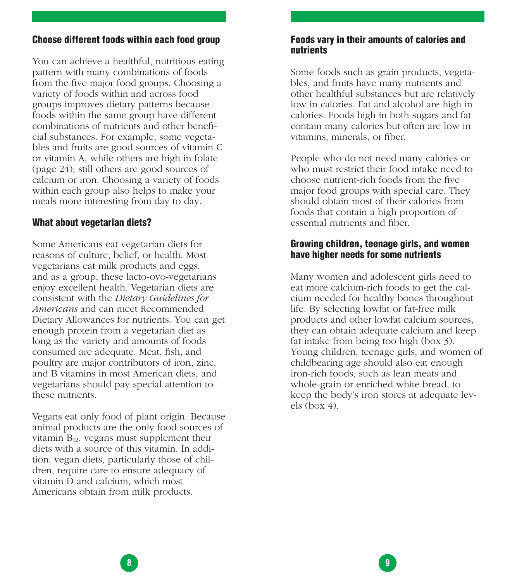## Choose different foods within each food group

You can achieve a healthful, nutritious eating pattern with many combinations of foods from the five major food groups. Choosing a variety of foods within and across food groups improves dietary patterns because foods within the same group have different combinations of nutrients and other beneficial substances. For example, some vegetables and fruits are good sources of vitamin C or vitamin A, while others are high in folate (page 24); still others are good sources of calcium or iron. Choosing a variety of foods within each group also helps to make your meals more interesting from day to day.

## What about vegetarian diets?

Some Americans eat vegetarian diets for reasons of culture, belief, or health. Most vegetarians eat milk products and eggs, and as a group, these lacto-ovo-vegetarians enjoy excellent health. Vegetarian diets are consistent with the *Dietary Guidelines for Americans* and can meet Recommended Dietary Allowances for nutrients. You can get enough protein from a vegetarian diet as long as the variety and amounts of foods consumed are adequate. Meat, fish, and poultry are major contributors of iron, zinc, and B vitamins in most American diets, and vegetarians should pay special attention to these nutrients.

Vegans eat only food of plant origin. Because animal products are the only food sources of vitamin  $B_{12}$ , vegans must supplement their diets with a source of this vitamin. In addition, vegan diets, particularly those of children, require care to ensure adequacy of vitamin D and calcium, which most Americans obtain from milk products.

## Foods vary in their amounts of calories and nutrients

Some foods such as grain products, vegetables, and fruits have many nutrients and other healthful substances but are relatively low in calories. Fat and alcohol are high in calories. Foods high in both sugars and fat contain many calories but often are low in vitamins, minerals, or fiber.

People who do not need many calories or who must restrict their food intake need to choose nutrient-rich foods from the five major food groups with special care. They should obtain most of their calories from foods that contain a high proportion of essential nutrients and fiber.

## Growing children, teenage girls, and women have higher needs for some nutrients

Many women and adolescent girls need to eat more calcium-rich foods to get the calcium needed for healthy bones throughout life. By selecting lowfat or fat-free milk products and other lowfat calcium sources, they can obtain adequate calcium and keep fat intake from being too high (box 3). Young children, teenage girls, and women of childbearing age should also eat enough iron-rich foods, such as lean meats and whole-grain or enriched white bread, to keep the body's iron stores at adequate levels (box 4).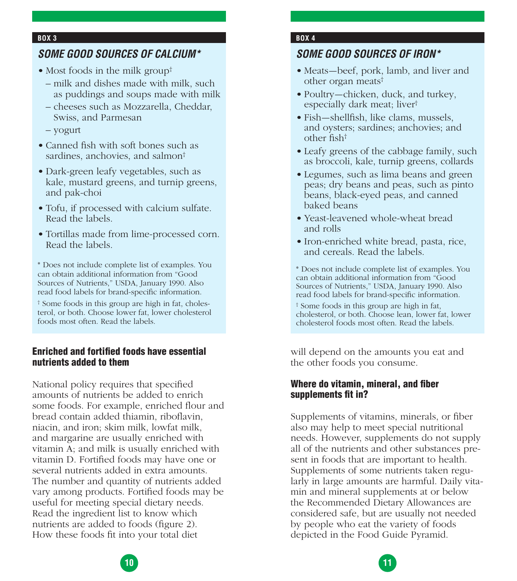## **SOME GOOD SOURCES OF CALCIUM\***

- Most foods in the milk group<sup>†</sup>
	- milk and dishes made with milk, such as puddings and soups made with milk
	- cheeses such as Mozzarella, Cheddar, Swiss, and Parmesan
	- yogurt
- Canned fish with soft bones such as sardines, anchovies, and salmon†
- Dark-green leafy vegetables, such as kale, mustard greens, and turnip greens, and pak-choi
- Tofu, if processed with calcium sulfate. Read the labels.
- Tortillas made from lime-processed corn. Read the labels.

\* Does not include complete list of examples. You can obtain additional information from "Good Sources of Nutrients," USDA, January 1990. Also read food labels for brand-specific information.

† Some foods in this group are high in fat, cholesterol, or both. Choose lower fat, lower cholesterol foods most often. Read the labels.

## Enriched and fortified foods have essential nutrients added to them

National policy requires that specified amounts of nutrients be added to enrich some foods. For example, enriched flour and bread contain added thiamin, riboflavin, niacin, and iron; skim milk, lowfat milk, and margarine are usually enriched with vitamin A; and milk is usually enriched with vitamin D. Fortified foods may have one or several nutrients added in extra amounts. The number and quantity of nutrients added vary among products. Fortified foods may be useful for meeting special dietary needs. Read the ingredient list to know which nutrients are added to foods (figure 2). How these foods fit into your total diet

#### **BOX 4**

## **SOME GOOD SOURCES OF IRON\***

- Meats—beef, pork, lamb, and liver and other organ meats†
- Poultry—chicken, duck, and turkey, especially dark meat; liver†
- Fish—shellfish, like clams, mussels, and oysters; sardines; anchovies; and other fish†
- Leafy greens of the cabbage family, such as broccoli, kale, turnip greens, collards
- Legumes, such as lima beans and green peas; dry beans and peas, such as pinto beans, black-eyed peas, and canned baked beans
- Yeast-leavened whole-wheat bread and rolls
- Iron-enriched white bread, pasta, rice, and cereals. Read the labels.

\* Does not include complete list of examples. You can obtain additional information from "Good Sources of Nutrients," USDA, January 1990. Also read food labels for brand-specific information.

† Some foods in this group are high in fat, cholesterol, or both. Choose lean, lower fat, lower cholesterol foods most often. Read the labels.

will depend on the amounts you eat and the other foods you consume.

### Where do vitamin, mineral, and fiber supplements fit in?

Supplements of vitamins, minerals, or fiber also may help to meet special nutritional needs. However, supplements do not supply all of the nutrients and other substances present in foods that are important to health. Supplements of some nutrients taken regularly in large amounts are harmful. Daily vitamin and mineral supplements at or below the Recommended Dietary Allowances are considered safe, but are usually not needed by people who eat the variety of foods depicted in the Food Guide Pyramid.

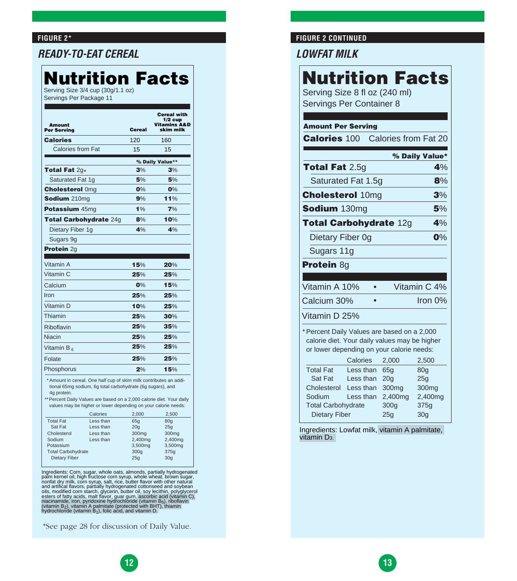## **READY-TO-EAT CEREAL**

## Nutrition Facts

Serving Size 3/4 cup (30g/1.1 oz) Servings Per Package 11

| Amount<br><b>Per Serving</b>  | Cereal | <b>Cereal with</b><br>$1/2$ cup<br><b>Vitamins A&amp;D</b><br>skim milk |
|-------------------------------|--------|-------------------------------------------------------------------------|
| <b>Calories</b>               | 120    | 160                                                                     |
| Calories from Fat             | 15     | 15                                                                      |
|                               |        | % Daily Value**                                                         |
| Total Fat 2q*                 | 3%     | 3%                                                                      |
| Saturated Fat 1q              | 5%     | 5%                                                                      |
| <b>Cholesterol Omg</b>        | 0%     | O%                                                                      |
| <b>Sodium</b> 210mg           | 9%     | 11%                                                                     |
| Potassium 45mg                | 1%     | 7%                                                                      |
| <b>Total Carbohydrate 24g</b> | 8%     | 10%                                                                     |
| Dietary Fiber 1g              | 4%     | 4%                                                                      |
| Sugars 9g                     |        |                                                                         |
| Protein <sub>2g</sub>         |        |                                                                         |
| Vitamin A                     | 15%    | 20%                                                                     |
| Vitamin <sub>C</sub>          | 25%    | 25%                                                                     |
| Calcium                       | 0%     | 15%                                                                     |
| Iron                          | 25%    | 25%                                                                     |
| Vitamin D                     | 10%    | 25%                                                                     |
| Thiamin                       | 25%    | 30%                                                                     |
| Riboflavin                    | 25%    | 35%                                                                     |
| Niacin                        | 25%    | 25%                                                                     |
| Vitamin B <sub>6</sub>        | 25%    | 25%                                                                     |
| Folate                        | 25%    | 25%                                                                     |
| Phosphorus                    | 2%     | 15%                                                                     |

\*Amount in cereal. One half cup of skim milk contributes an additional 65mg sodium, 6g total carbohydrate (6g sugars), and 4g protein.

\*\* Percent Daily Values are based on a 2,000 calorie diet. Your daily values may be higher or lower depending on your calorie needs:

|                           | Calories  | 2.000             | 2.500             |
|---------------------------|-----------|-------------------|-------------------|
| <b>Total Fat</b>          | Less than | 65g               | 80q               |
| Sat Fat                   | Less than | 20q               | 25 <sub>a</sub>   |
| Cholesterol               | Less than | 300 <sub>mg</sub> | 300 <sub>mg</sub> |
| Sodium                    | Less than | 2,400mg           | 2,400mg           |
| Potassium                 |           | 3,500mg           | 3,500mg           |
| <b>Total Carbohydrate</b> |           | 300q              | 375q              |
| <b>Dietary Fiber</b>      |           | 25q               | 30q               |
|                           |           |                   |                   |

Ingredients: Corn, sugar, whole oats, almonds, partially hydrogenated palm kernel oil, high fructose corn syrup, whole wheat, brown sugar,<br>nonfat dry milk, corn syrup, salt, rice, butter flavor with other natural<br>and artifical flavors, partially hydrogenated cottonseed and soybean oils, modified corn starch, glycerin, butter oil, soy lecithin, polyglycerol<br>esters of fatty acids, malt flavor, guar gum, ascorbic acid (vitamin C),<br>niacinamide, iron, pyridoxine hydrochloride (vitamin B<sub>6</sub>), riboflavin<br>( hydrochloride (vitamin  $B_1$ ), folic acid, and vitamin D.

\*See page 28 for discussion of Daily Value.

#### **FIGURE 2 CONTINUED**

## **LOWFAT MILK**

## Serving Size 8 fl oz (240 ml) Nutrition Facts

Servings Per Container 8

#### Amount Per Serving % Daily Value\* Calories 100 Calories from Fat 20 Total Fat 2.5g Saturated Fat 1.5g Cholesterol 10mg Sodium 130mg Protein 8g 4% 8% 3% 5% Total Carbohydrate 12g Dietary Fiber 0g 4% 0% Sugars 11g Vitamin A 10% • Vitamin C 4% Calcium 30% \* Percent Daily Values are based on a 2,000 Calories 2,000 2,500 Total Fat Less than 65g 80g Sat Fat Less than 20g 25g Cholesterol Less than 300mg 300mg Sodium Less than 2,400mg 2,400mg Total Carbohydrate 300g 375g Dietary Fiber 25g 30g • Iron 0% Vitamin D 25% calorie diet. Your daily values may be higher or lower depending on your calorie needs:

Ingredients: Lowfat milk, vitamin A palmitate, vitamin D<sub>3.</sub>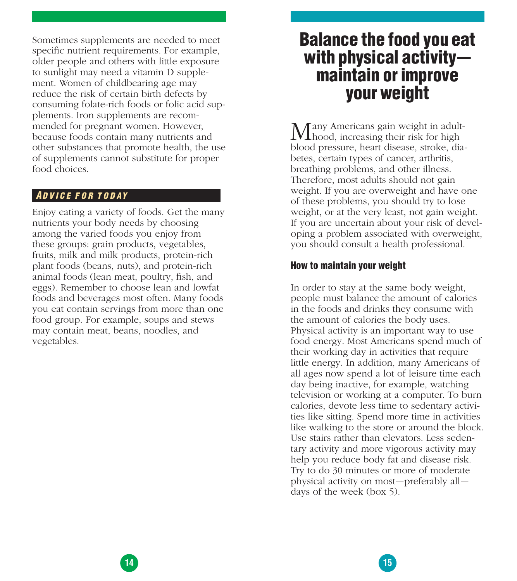Sometimes supplements are needed to meet specific nutrient requirements. For example, older people and others with little exposure to sunlight may need a vitamin D supplement. Women of childbearing age may reduce the risk of certain birth defects by consuming folate-rich foods or folic acid supplements. Iron supplements are recommended for pregnant women. However, because foods contain many nutrients and other substances that promote health, the use of supplements cannot substitute for proper food choices.

## ADVICE FOR TODAY

Enjoy eating a variety of foods. Get the many nutrients your body needs by choosing among the varied foods you enjoy from these groups: grain products, vegetables, fruits, milk and milk products, protein-rich plant foods (beans, nuts), and protein-rich animal foods (lean meat, poultry, fish, and eggs). Remember to choose lean and lowfat foods and beverages most often. Many foods you eat contain servings from more than one food group. For example, soups and stews may contain meat, beans, noodles, and vegetables.

## Balance the food you eat with physical activity maintain or improve your weight

Many Americans gain weight in adult-<br>hood, increasing their risk for high blood pressure, heart disease, stroke, diabetes, certain types of cancer, arthritis, breathing problems, and other illness. Therefore, most adults should not gain weight. If you are overweight and have one of these problems, you should try to lose weight, or at the very least, not gain weight. If you are uncertain about your risk of developing a problem associated with overweight, you should consult a health professional.

## How to maintain your weight

In order to stay at the same body weight, people must balance the amount of calories in the foods and drinks they consume with the amount of calories the body uses. Physical activity is an important way to use food energy. Most Americans spend much of their working day in activities that require little energy. In addition, many Americans of all ages now spend a lot of leisure time each day being inactive, for example, watching television or working at a computer. To burn calories, devote less time to sedentary activities like sitting. Spend more time in activities like walking to the store or around the block. Use stairs rather than elevators. Less sedentary activity and more vigorous activity may help you reduce body fat and disease risk. Try to do 30 minutes or more of moderate physical activity on most—preferably all days of the week (box 5).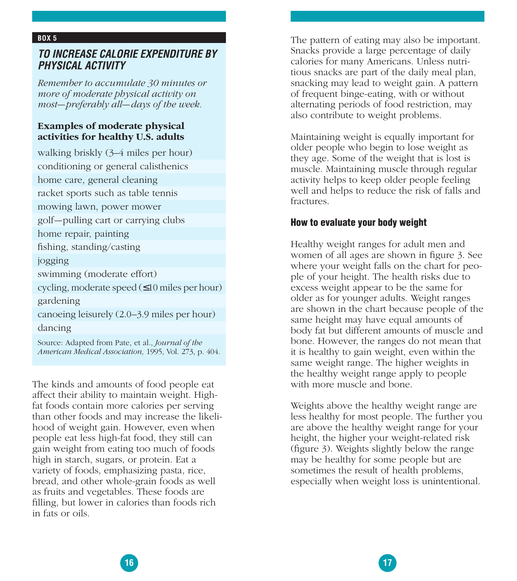## **TO INCREASE CALORIE EXPENDITURE BY PHYSICAL ACTIVITY**

*Remember to accumulate 30 minutes or more of moderate physical activity on most—preferably all—days of the week.*

## **Examples of moderate physical activities for healthy U.S. adults**

walking briskly (3–4 miles per hour) conditioning or general calisthenics home care, general cleaning racket sports such as table tennis mowing lawn, power mower golf—pulling cart or carrying clubs home repair, painting fishing, standing/casting jogging swimming (moderate effort) cycling, moderate speed (≤10 miles per hour) gardening canoeing leisurely (2.0–3.9 miles per hour) dancing Source: Adapted from Pate, et al., *Journal of the American Medical Association,* 1995, Vol. 273, p. 404.

The kinds and amounts of food people eat affect their ability to maintain weight. Highfat foods contain more calories per serving than other foods and may increase the likelihood of weight gain. However, even when people eat less high-fat food, they still can gain weight from eating too much of foods high in starch, sugars, or protein. Eat a variety of foods, emphasizing pasta, rice, bread, and other whole-grain foods as well as fruits and vegetables. These foods are filling, but lower in calories than foods rich in fats or oils.

The pattern of eating may also be important. Snacks provide a large percentage of daily calories for many Americans. Unless nutritious snacks are part of the daily meal plan, snacking may lead to weight gain. A pattern of frequent binge-eating, with or without alternating periods of food restriction, may also contribute to weight problems.

Maintaining weight is equally important for older people who begin to lose weight as they age. Some of the weight that is lost is muscle. Maintaining muscle through regular activity helps to keep older people feeling well and helps to reduce the risk of falls and fractures.

## How to evaluate your body weight

Healthy weight ranges for adult men and women of all ages are shown in figure 3. See where your weight falls on the chart for people of your height. The health risks due to excess weight appear to be the same for older as for younger adults. Weight ranges are shown in the chart because people of the same height may have equal amounts of body fat but different amounts of muscle and bone. However, the ranges do not mean that it is healthy to gain weight, even within the same weight range. The higher weights in the healthy weight range apply to people with more muscle and bone.

Weights above the healthy weight range are less healthy for most people. The further you are above the healthy weight range for your height, the higher your weight-related risk (figure 3). Weights slightly below the range may be healthy for some people but are sometimes the result of health problems, especially when weight loss is unintentional.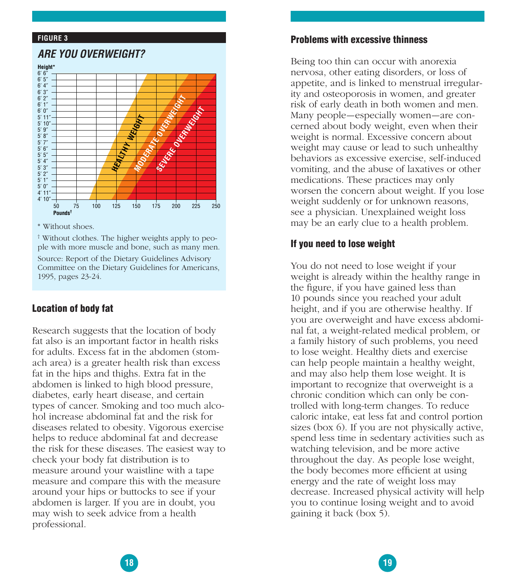#### **FIGURE 3**

## **ARE YOU OVERWEIGHT?**



\* Without shoes.

† Without clothes. The higher weights apply to people with more muscle and bone, such as many men. Source: Report of the Dietary Guidelines Advisory Committee on the Dietary Guidelines for Americans, 1995, pages 23-24.

## Location of body fat

Research suggests that the location of body fat also is an important factor in health risks for adults. Excess fat in the abdomen (stomach area) is a greater health risk than excess fat in the hips and thighs. Extra fat in the abdomen is linked to high blood pressure, diabetes, early heart disease, and certain types of cancer. Smoking and too much alcohol increase abdominal fat and the risk for diseases related to obesity. Vigorous exercise helps to reduce abdominal fat and decrease the risk for these diseases. The easiest way to check your body fat distribution is to measure around your waistline with a tape measure and compare this with the measure around your hips or buttocks to see if your abdomen is larger. If you are in doubt, you may wish to seek advice from a health professional.

## Problems with excessive thinness

Being too thin can occur with anorexia nervosa, other eating disorders, or loss of appetite, and is linked to menstrual irregularity and osteoporosis in women, and greater risk of early death in both women and men. Many people—especially women—are concerned about body weight, even when their weight is normal. Excessive concern about weight may cause or lead to such unhealthy behaviors as excessive exercise, self-induced vomiting, and the abuse of laxatives or other medications. These practices may only worsen the concern about weight. If you lose weight suddenly or for unknown reasons, see a physician. Unexplained weight loss may be an early clue to a health problem.

## If you need to lose weight

You do not need to lose weight if your weight is already within the healthy range in the figure, if you have gained less than 10 pounds since you reached your adult height, and if you are otherwise healthy. If you are overweight and have excess abdominal fat, a weight-related medical problem, or a family history of such problems, you need to lose weight. Healthy diets and exercise can help people maintain a healthy weight, and may also help them lose weight. It is important to recognize that overweight is a chronic condition which can only be controlled with long-term changes. To reduce caloric intake, eat less fat and control portion sizes (box 6). If you are not physically active, spend less time in sedentary activities such as watching television, and be more active throughout the day. As people lose weight, the body becomes more efficient at using energy and the rate of weight loss may decrease. Increased physical activity will help you to continue losing weight and to avoid gaining it back (box 5).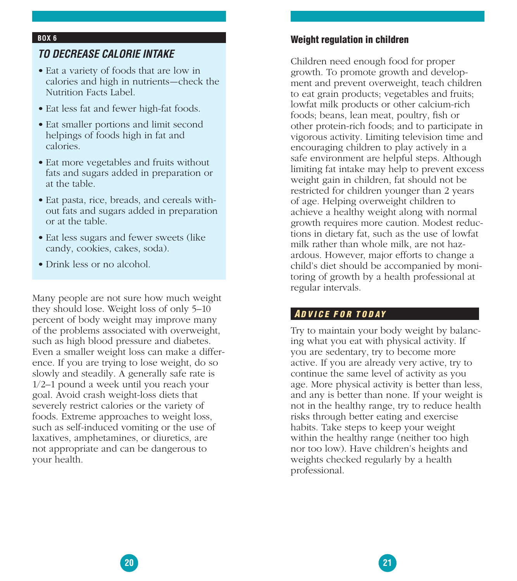## **TO DECREASE CALORIE INTAKE**

- Eat a variety of foods that are low in calories and high in nutrients—check the Nutrition Facts Label.
- Eat less fat and fewer high-fat foods.
- Eat smaller portions and limit second helpings of foods high in fat and calories.
- Eat more vegetables and fruits without fats and sugars added in preparation or at the table.
- Eat pasta, rice, breads, and cereals without fats and sugars added in preparation or at the table.
- Eat less sugars and fewer sweets (like candy, cookies, cakes, soda).
- Drink less or no alcohol.

Many people are not sure how much weight they should lose. Weight loss of only 5–10 percent of body weight may improve many of the problems associated with overweight, such as high blood pressure and diabetes. Even a smaller weight loss can make a difference. If you are trying to lose weight, do so slowly and steadily. A generally safe rate is 1/2–1 pound a week until you reach your goal. Avoid crash weight-loss diets that severely restrict calories or the variety of foods. Extreme approaches to weight loss, such as self-induced vomiting or the use of laxatives, amphetamines, or diuretics, are not appropriate and can be dangerous to your health.

## Weight regulation in children

Children need enough food for proper growth. To promote growth and development and prevent overweight, teach children to eat grain products; vegetables and fruits; lowfat milk products or other calcium-rich foods; beans, lean meat, poultry, fish or other protein-rich foods; and to participate in vigorous activity. Limiting television time and encouraging children to play actively in a safe environment are helpful steps. Although limiting fat intake may help to prevent excess weight gain in children, fat should not be restricted for children younger than 2 years of age. Helping overweight children to achieve a healthy weight along with normal growth requires more caution. Modest reductions in dietary fat, such as the use of lowfat milk rather than whole milk, are not hazardous. However, major efforts to change a child's diet should be accompanied by monitoring of growth by a health professional at regular intervals.

## ADVICE FOR TODAY

Try to maintain your body weight by balancing what you eat with physical activity. If you are sedentary, try to become more active. If you are already very active, try to continue the same level of activity as you age. More physical activity is better than less, and any is better than none. If your weight is not in the healthy range, try to reduce health risks through better eating and exercise habits. Take steps to keep your weight within the healthy range (neither too high nor too low). Have children's heights and weights checked regularly by a health professional.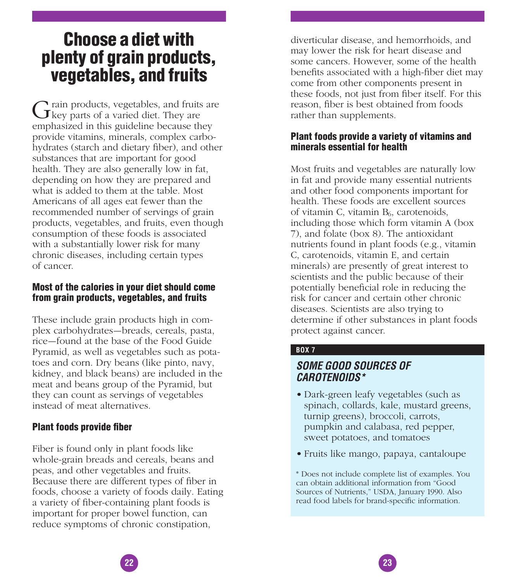## Choose a diet with plenty of grain products, vegetables, and fruits

rain products, vegetables, and fruits are  $\bf{J}$  key parts of a varied diet. They are emphasized in this guideline because they provide vitamins, minerals, complex carbohydrates (starch and dietary fiber), and other substances that are important for good health. They are also generally low in fat, depending on how they are prepared and what is added to them at the table. Most Americans of all ages eat fewer than the recommended number of servings of grain products, vegetables, and fruits, even though consumption of these foods is associated with a substantially lower risk for many chronic diseases, including certain types of cancer.

## Most of the calories in your diet should come from grain products, vegetables, and fruits

These include grain products high in complex carbohydrates—breads, cereals, pasta, rice—found at the base of the Food Guide Pyramid, as well as vegetables such as potatoes and corn. Dry beans (like pinto, navy, kidney, and black beans) are included in the meat and beans group of the Pyramid, but they can count as servings of vegetables instead of meat alternatives.

## Plant foods provide fiber

Fiber is found only in plant foods like whole-grain breads and cereals, beans and peas, and other vegetables and fruits. Because there are different types of fiber in foods, choose a variety of foods daily. Eating a variety of fiber-containing plant foods is important for proper bowel function, can reduce symptoms of chronic constipation,

diverticular disease, and hemorrhoids, and may lower the risk for heart disease and some cancers. However, some of the health benefits associated with a high-fiber diet may come from other components present in these foods, not just from fiber itself. For this reason, fiber is best obtained from foods rather than supplements.

## Plant foods provide a variety of vitamins and minerals essential for health

Most fruits and vegetables are naturally low in fat and provide many essential nutrients and other food components important for health. These foods are excellent sources of vitamin C, vitamin  $B_6$ , carotenoids, including those which form vitamin A (box 7), and folate (box 8). The antioxidant nutrients found in plant foods (e.g., vitamin C, carotenoids, vitamin E, and certain minerals) are presently of great interest to scientists and the public because of their potentially beneficial role in reducing the risk for cancer and certain other chronic diseases. Scientists are also trying to determine if other substances in plant foods protect against cancer.

## **BOX 7**

## **SOME GOOD SOURCES OF CAROTENOIDS\***

- Dark-green leafy vegetables (such as spinach, collards, kale, mustard greens, turnip greens), broccoli, carrots, pumpkin and calabasa, red pepper, sweet potatoes, and tomatoes
- Fruits like mango, papaya, cantaloupe

\* Does not include complete list of examples. You can obtain additional information from "Good Sources of Nutrients," USDA, January 1990. Also read food labels for brand-specific information.

**22**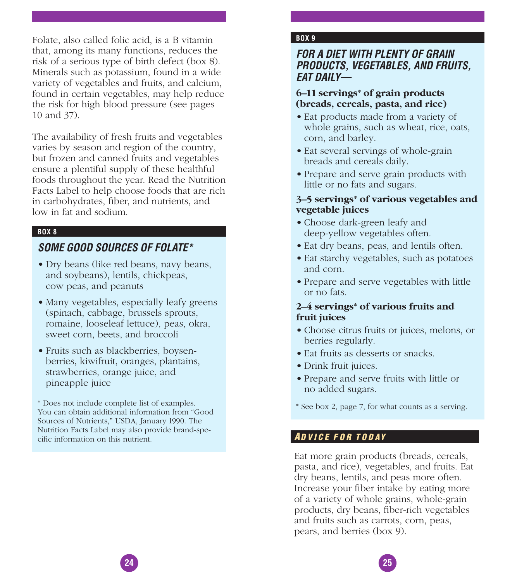Folate, also called folic acid, is a B vitamin that, among its many functions, reduces the risk of a serious type of birth defect (box 8). Minerals such as potassium, found in a wide variety of vegetables and fruits, and calcium, found in certain vegetables, may help reduce the risk for high blood pressure (see pages 10 and 37).

The availability of fresh fruits and vegetables varies by season and region of the country, but frozen and canned fruits and vegetables ensure a plentiful supply of these healthful foods throughout the year. Read the Nutrition Facts Label to help choose foods that are rich in carbohydrates, fiber, and nutrients, and low in fat and sodium.

#### **BOX 8**

## **SOME GOOD SOURCES OF FOLATE\***

- Dry beans (like red beans, navy beans, and soybeans), lentils, chickpeas, cow peas, and peanuts
- Many vegetables, especially leafy greens (spinach, cabbage, brussels sprouts, romaine, looseleaf lettuce), peas, okra, sweet corn, beets, and broccoli
- Fruits such as blackberries, boysenberries, kiwifruit, oranges, plantains, strawberries, orange juice, and pineapple juice

\* Does not include complete list of examples. You can obtain additional information from "Good Sources of Nutrients," USDA, January 1990. The Nutrition Facts Label may also provide brand-specific information on this nutrient.

#### **BOX 9**

## **FOR A DIET WITH PLENTY OF GRAIN PRODUCTS, VEGETABLES, AND FRUITS, EAT DAILY—**

### **6–11 servings\* of grain products (breads, cereals, pasta, and rice)**

- Eat products made from a variety of whole grains, such as wheat, rice, oats, corn, and barley.
- Eat several servings of whole-grain breads and cereals daily.
- Prepare and serve grain products with little or no fats and sugars.

### **3–5 servings\* of various vegetables and vegetable juices**

- Choose dark-green leafy and deep-yellow vegetables often.
- Eat dry beans, peas, and lentils often.
- Eat starchy vegetables, such as potatoes and corn.
- Prepare and serve vegetables with little or no fats.

### **2–4 servings\* of various fruits and fruit juices**

- Choose citrus fruits or juices, melons, or berries regularly.
- Eat fruits as desserts or snacks.
- Drink fruit juices.
- Prepare and serve fruits with little or no added sugars.
- \* See box 2, page 7, for what counts as a serving.

## ADVICE FOR TODAY

Eat more grain products (breads, cereals, pasta, and rice), vegetables, and fruits. Eat dry beans, lentils, and peas more often. Increase your fiber intake by eating more of a variety of whole grains, whole-grain products, dry beans, fiber-rich vegetables and fruits such as carrots, corn, peas, pears, and berries (box 9).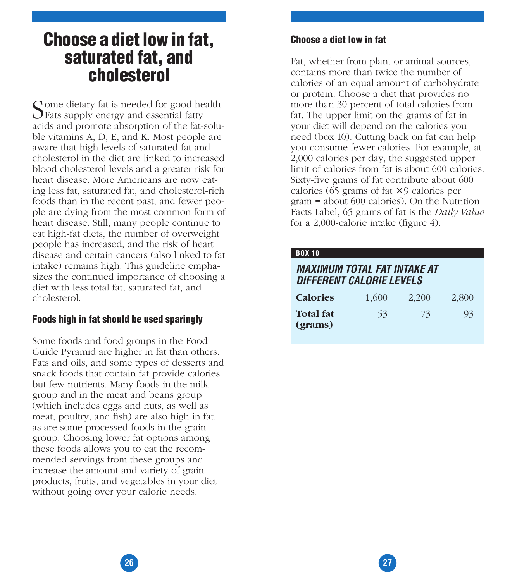## Choose a diet low in fat, saturated fat, and cholesterol

 $\Gamma$  ome dietary fat is needed for good health. **O** Fats supply energy and essential fatty acids and promote absorption of the fat-soluble vitamins A, D, E, and K. Most people are aware that high levels of saturated fat and cholesterol in the diet are linked to increased blood cholesterol levels and a greater risk for heart disease. More Americans are now eating less fat, saturated fat, and cholesterol-rich foods than in the recent past, and fewer people are dying from the most common form of heart disease. Still, many people continue to eat high-fat diets, the number of overweight people has increased, and the risk of heart disease and certain cancers (also linked to fat intake) remains high. This guideline emphasizes the continued importance of choosing a diet with less total fat, saturated fat, and cholesterol.

## Foods high in fat should be used sparingly

Some foods and food groups in the Food Guide Pyramid are higher in fat than others. Fats and oils, and some types of desserts and snack foods that contain fat provide calories but few nutrients. Many foods in the milk group and in the meat and beans group (which includes eggs and nuts, as well as meat, poultry, and fish) are also high in fat, as are some processed foods in the grain group. Choosing lower fat options among these foods allows you to eat the recommended servings from these groups and increase the amount and variety of grain products, fruits, and vegetables in your diet without going over your calorie needs.

## Choose a diet low in fat

Fat, whether from plant or animal sources, contains more than twice the number of calories of an equal amount of carbohydrate or protein. Choose a diet that provides no more than 30 percent of total calories from fat. The upper limit on the grams of fat in your diet will depend on the calories you need (box 10). Cutting back on fat can help you consume fewer calories. For example, at 2,000 calories per day, the suggested upper limit of calories from fat is about 600 calories. Sixty-five grams of fat contribute about 600 calories (65 grams of fat  $\times$  9 calories per gram = about 600 calories). On the Nutrition Facts Label, 65 grams of fat is the *Daily Value* for a 2,000-calorie intake (figure 4).

### **BOX 10**

## **MAXIMUM TOTAL FAT INTAKE AT DIFFERENT CALORIE LEVELS**

| <b>Calories</b>             | 1,600 | 2.200 | 2,800 |
|-----------------------------|-------|-------|-------|
| <b>Total fat</b><br>(grams) | 53    | 73    | 93    |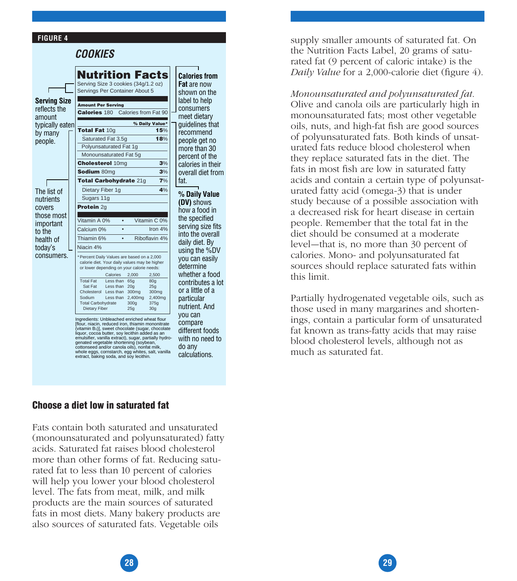#### **FIGURE 4**

**COOKIES**

|                                               | LUUNIES                                                                                                                                   |                                                            |
|-----------------------------------------------|-------------------------------------------------------------------------------------------------------------------------------------------|------------------------------------------------------------|
|                                               | <b>Nutrition Facts</b><br>Serving Size 3 cookies (34g/1.2 oz)<br>Servings Per Container About 5                                           | <b>Calories from</b><br><b>Fat</b> are now<br>shown on the |
| <b>Serving Size</b><br>reflects the<br>amount | <b>Amount Per Serving</b><br>Calories from Fat 90<br>Calories 180                                                                         | label to help<br>consumers<br>meet dietarv                 |
| typically eaten                               | % Daily Value*                                                                                                                            | quidelines that                                            |
|                                               | <b>Total Fat 10g</b><br>15%                                                                                                               | recommend                                                  |
| by many                                       | Saturated Fat 3.5q<br>18%                                                                                                                 | people get no                                              |
| people.                                       | Polyunsaturated Fat 1g                                                                                                                    | more than 30                                               |
|                                               | Monounsaturated Fat 5q                                                                                                                    | percent of the                                             |
|                                               | <b>Cholesterol 10mg</b><br>3%                                                                                                             | calories in the                                            |
|                                               | Sodium 80mg<br>3%                                                                                                                         | overall diet fro                                           |
|                                               | Total Carbohydrate 21g<br>7%                                                                                                              | fat.                                                       |
| The list of                                   | Dietary Fiber 1g<br>4%                                                                                                                    |                                                            |
| nutrients                                     | Sugars 11g                                                                                                                                | % Daily Value                                              |
| covers                                        | Protein 2g                                                                                                                                | (DV) shows                                                 |
| those most                                    |                                                                                                                                           | how a food in                                              |
| important                                     | Vitamin C 0%<br>Vitamin A 0%<br>$\bullet$                                                                                                 | the specified                                              |
| to the                                        | Calcium 0%<br>Iron $4%$<br>٠                                                                                                              | serving size fit                                           |
| health of                                     | Riboflavin 4%<br>Thiamin 6%<br>۰                                                                                                          | into the overal                                            |
| today's                                       | Niacin 4%                                                                                                                                 | daily diet. By                                             |
| consumers.                                    | * Percent Daily Values are based on a 2,000<br>calorie diet. Your daily values may be higher<br>or lower depending on your calorie needs: | using the %D<br>vou can easily<br>determine                |
|                                               | Calories<br>2,000<br>2,500<br><b>Total Fat</b><br>Less than<br>65q<br>80q                                                                 | whether a food                                             |
|                                               | Sat Fat<br>Less than 20g<br>25q                                                                                                           | contributes a l                                            |
|                                               | Cholesterol Less than 300mg<br>300mg                                                                                                      | or a little of a                                           |
|                                               | Sodium<br>Less than 2,400mg<br>2,400mg<br><b>Total Carbohydrate</b><br>300q<br>375q                                                       | particular                                                 |
|                                               | <b>Dietary Fiber</b><br>25q<br>30q                                                                                                        | nutrient. And                                              |
|                                               | Ingredients: Unbleached enriched wheat flour                                                                                              | you can                                                    |
|                                               | fflour, niacin, reduced iron, thiamin mononitrate<br>(vitamin B <sub>1</sub> )], sweet chocolate (sugar, chocolate                        | compare<br>different foods                                 |

(vitamin B1)], sweet chocolate (sugar, chocolate liquor, cocoa butter, soy lecithin added as an emulsifier, vanilla extract), sugar, partially hydro-genated vegetable shortening (soybean, cottonseed and/or canola oils), nonfat milk, whole eggs, cornstarch, egg whites, salt, vanilla extract, baking soda, and soy lecithin.

**Fat** are now hown on the label to help consumers meet dietary uidelines that ecommend people get no more than 30 ercent of the alories in their verall diet from at. **% Daily Value (DV)** shows ow a food in he specified erving size fits **ito the overall** aily diet. By sing the %DV ou can easily etermine hether a food ontributes a lot or a little of a articular utrient. And ou can

ompare different foods with no need to do any calculations.

supply smaller amounts of saturated fat. On the Nutrition Facts Label, 20 grams of saturated fat (9 percent of caloric intake) is the *Daily Value* for a 2,000-calorie diet (figure 4).

*Monounsaturated and polyunsaturated fat*. Olive and canola oils are particularly high in monounsaturated fats; most other vegetable oils, nuts, and high-fat fish are good sources of polyunsaturated fats. Both kinds of unsaturated fats reduce blood cholesterol when they replace saturated fats in the diet. The fats in most fish are low in saturated fatty acids and contain a certain type of polyunsaturated fatty acid (omega-3) that is under study because of a possible association with a decreased risk for heart disease in certain people. Remember that the total fat in the diet should be consumed at a moderate level—that is, no more than 30 percent of calories. Mono- and polyunsaturated fat sources should replace saturated fats within this limit.

Partially hydrogenated vegetable oils, such as those used in many margarines and shortenings, contain a particular form of unsaturated fat known as trans-fatty acids that may raise blood cholesterol levels, although not as much as saturated fat.

## Choose a diet low in saturated fat

Fats contain both saturated and unsaturated (monounsaturated and polyunsaturated) fatty acids. Saturated fat raises blood cholesterol more than other forms of fat. Reducing saturated fat to less than 10 percent of calories will help you lower your blood cholesterol level. The fats from meat, milk, and milk products are the main sources of saturated fats in most diets. Many bakery products are also sources of saturated fats. Vegetable oils

**28**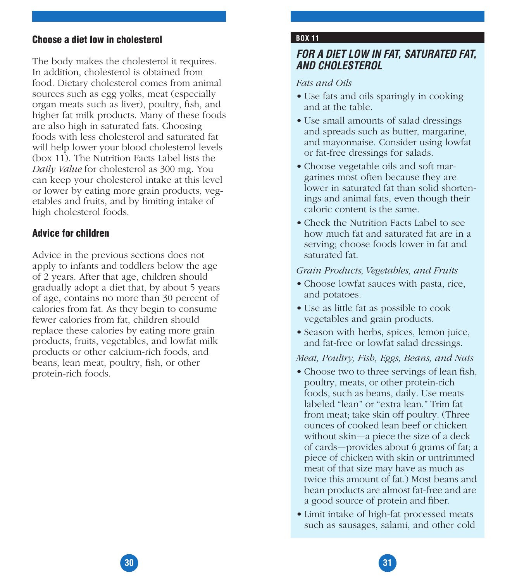## Choose a diet low in cholesterol

The body makes the cholesterol it requires. In addition, cholesterol is obtained from food. Dietary cholesterol comes from animal sources such as egg yolks, meat (especially organ meats such as liver), poultry, fish, and higher fat milk products. Many of these foods are also high in saturated fats. Choosing foods with less cholesterol and saturated fat will help lower your blood cholesterol levels (box 11). The Nutrition Facts Label lists the *Daily Value* for cholesterol as 300 mg. You can keep your cholesterol intake at this level or lower by eating more grain products, vegetables and fruits, and by limiting intake of high cholesterol foods.

## Advice for children

Advice in the previous sections does not apply to infants and toddlers below the age of 2 years. After that age, children should gradually adopt a diet that, by about 5 years of age, contains no more than 30 percent of calories from fat. As they begin to consume fewer calories from fat, children should replace these calories by eating more grain products, fruits, vegetables, and lowfat milk products or other calcium-rich foods, and beans, lean meat, poultry, fish, or other protein-rich foods.

#### **BOX 11**

## **FOR A DIET LOW IN FAT, SATURATED FAT, AND CHOLESTEROL**

## *Fats and Oils*

- Use fats and oils sparingly in cooking and at the table.
- Use small amounts of salad dressings and spreads such as butter, margarine, and mayonnaise. Consider using lowfat or fat-free dressings for salads.
- Choose vegetable oils and soft margarines most often because they are lower in saturated fat than solid shortenings and animal fats, even though their caloric content is the same.
- Check the Nutrition Facts Label to see how much fat and saturated fat are in a serving; choose foods lower in fat and saturated fat.

## *Grain Products, Vegetables, and Fruits*

- Choose lowfat sauces with pasta, rice, and potatoes.
- Use as little fat as possible to cook vegetables and grain products.
- Season with herbs, spices, lemon juice, and fat-free or lowfat salad dressings.

## *Meat, Poultry, Fish, Eggs, Beans, and Nuts*

- Choose two to three servings of lean fish, poultry, meats, or other protein-rich foods, such as beans, daily. Use meats labeled "lean" or "extra lean." Trim fat from meat; take skin off poultry. (Three ounces of cooked lean beef or chicken without skin—a piece the size of a deck of cards—provides about 6 grams of fat; a piece of chicken with skin or untrimmed meat of that size may have as much as twice this amount of fat.) Most beans and bean products are almost fat-free and are a good source of protein and fiber.
- Limit intake of high-fat processed meats such as sausages, salami, and other cold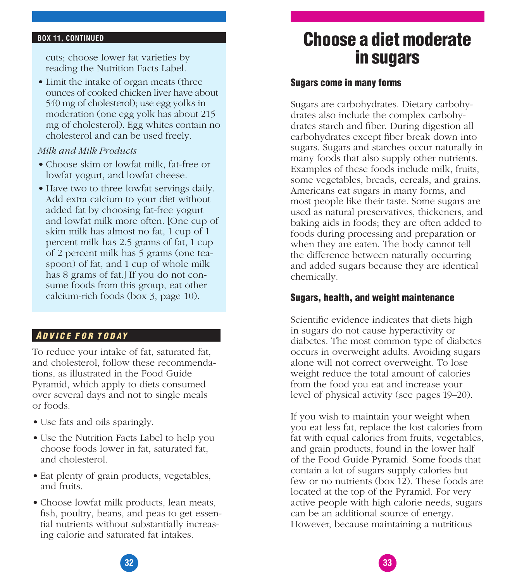#### **BOX 11, CONTINUED**

cuts; choose lower fat varieties by reading the Nutrition Facts Label.

• Limit the intake of organ meats (three ounces of cooked chicken liver have about 540 mg of cholesterol); use egg yolks in moderation (one egg yolk has about 215 mg of cholesterol). Egg whites contain no cholesterol and can be used freely.

#### *Milk and Milk Products*

- Choose skim or lowfat milk, fat-free or lowfat yogurt, and lowfat cheese.
- Have two to three lowfat servings daily. Add extra calcium to your diet without added fat by choosing fat-free yogurt and lowfat milk more often. [One cup of skim milk has almost no fat, 1 cup of 1 percent milk has 2.5 grams of fat, 1 cup of 2 percent milk has 5 grams (one teaspoon) of fat, and 1 cup of whole milk has 8 grams of fat.] If you do not consume foods from this group, eat other calcium-rich foods (box 3, page 10).

#### ADVICE FOR TODAY

To reduce your intake of fat, saturated fat, and cholesterol, follow these recommendations, as illustrated in the Food Guide Pyramid, which apply to diets consumed over several days and not to single meals or foods.

- Use fats and oils sparingly.
- Use the Nutrition Facts Label to help you choose foods lower in fat, saturated fat, and cholesterol.
- Eat plenty of grain products, vegetables, and fruits.
- Choose lowfat milk products, lean meats, fish, poultry, beans, and peas to get essential nutrients without substantially increasing calorie and saturated fat intakes.

## Choose a diet moderate in sugars

## Sugars come in many forms

Sugars are carbohydrates. Dietary carbohydrates also include the complex carbohydrates starch and fiber. During digestion all carbohydrates except fiber break down into sugars. Sugars and starches occur naturally in many foods that also supply other nutrients. Examples of these foods include milk, fruits, some vegetables, breads, cereals, and grains. Americans eat sugars in many forms, and most people like their taste. Some sugars are used as natural preservatives, thickeners, and baking aids in foods; they are often added to foods during processing and preparation or when they are eaten. The body cannot tell the difference between naturally occurring and added sugars because they are identical chemically.

## Sugars, health, and weight maintenance

Scientific evidence indicates that diets high in sugars do not cause hyperactivity or diabetes. The most common type of diabetes occurs in overweight adults. Avoiding sugars alone will not correct overweight. To lose weight reduce the total amount of calories from the food you eat and increase your level of physical activity (see pages 19–20).

If you wish to maintain your weight when you eat less fat, replace the lost calories from fat with equal calories from fruits, vegetables, and grain products, found in the lower half of the Food Guide Pyramid. Some foods that contain a lot of sugars supply calories but few or no nutrients (box 12). These foods are located at the top of the Pyramid. For very active people with high calorie needs, sugars can be an additional source of energy. However, because maintaining a nutritious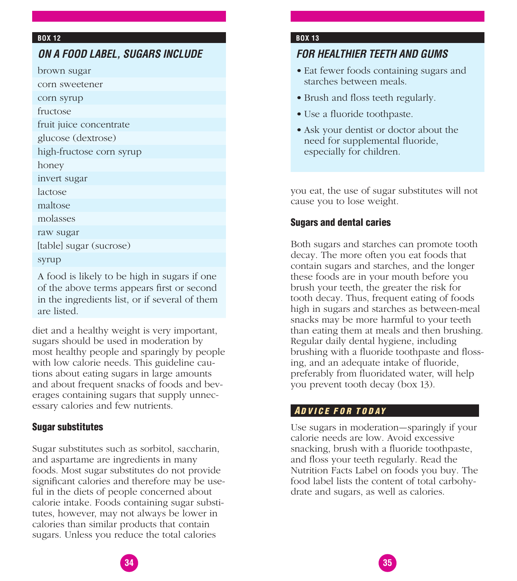## **ON A FOOD LABEL, SUGARS INCLUDE**

brown sugar

corn sweetener

corn syrup

fructose

fruit juice concentrate

glucose (dextrose)

high-fructose corn syrup

honey

invert sugar

lactose

maltose

molasses

raw sugar

[table] sugar (sucrose)

syrup

A food is likely to be high in sugars if one of the above terms appears first or second in the ingredients list, or if several of them are listed.

diet and a healthy weight is very important, sugars should be used in moderation by most healthy people and sparingly by people with low calorie needs. This guideline cautions about eating sugars in large amounts and about frequent snacks of foods and beverages containing sugars that supply unnecessary calories and few nutrients.

## Sugar substitutes

Sugar substitutes such as sorbitol, saccharin, and aspartame are ingredients in many foods. Most sugar substitutes do not provide significant calories and therefore may be useful in the diets of people concerned about calorie intake. Foods containing sugar substitutes, however, may not always be lower in calories than similar products that contain sugars. Unless you reduce the total calories

#### **BOX 13**

## **FOR HEALTHIER TEETH AND GUMS**

- Eat fewer foods containing sugars and starches between meals.
- Brush and floss teeth regularly.
- Use a fluoride toothpaste.
- Ask your dentist or doctor about the need for supplemental fluoride, especially for children.

you eat, the use of sugar substitutes will not cause you to lose weight.

## Sugars and dental caries

Both sugars and starches can promote tooth decay. The more often you eat foods that contain sugars and starches, and the longer these foods are in your mouth before you brush your teeth, the greater the risk for tooth decay. Thus, frequent eating of foods high in sugars and starches as between-meal snacks may be more harmful to your teeth than eating them at meals and then brushing. Regular daily dental hygiene, including brushing with a fluoride toothpaste and flossing, and an adequate intake of fluoride, preferably from fluoridated water, will help you prevent tooth decay (box 13).

## ADVICE FOR TODAY

Use sugars in moderation—sparingly if your calorie needs are low. Avoid excessive snacking, brush with a fluoride toothpaste, and floss your teeth regularly. Read the Nutrition Facts Label on foods you buy. The food label lists the content of total carbohydrate and sugars, as well as calories.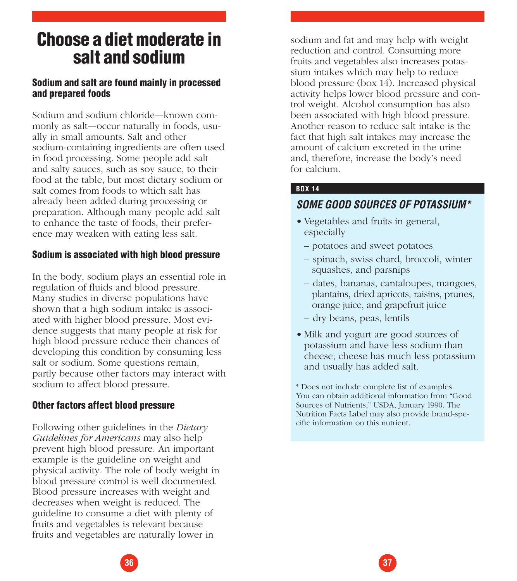## Choose a diet moderate in salt and sodium

## Sodium and salt are found mainly in processed and prepared foods

Sodium and sodium chloride—known commonly as salt—occur naturally in foods, usually in small amounts. Salt and other sodium-containing ingredients are often used in food processing. Some people add salt and salty sauces, such as soy sauce, to their food at the table, but most dietary sodium or salt comes from foods to which salt has already been added during processing or preparation. Although many people add salt to enhance the taste of foods, their preference may weaken with eating less salt.

## Sodium is associated with high blood pressure

In the body, sodium plays an essential role in regulation of fluids and blood pressure. Many studies in diverse populations have shown that a high sodium intake is associated with higher blood pressure. Most evidence suggests that many people at risk for high blood pressure reduce their chances of developing this condition by consuming less salt or sodium. Some questions remain, partly because other factors may interact with sodium to affect blood pressure.

## Other factors affect blood pressure

Following other guidelines in the *Dietary Guidelines for Americans* may also help prevent high blood pressure. An important example is the guideline on weight and physical activity. The role of body weight in blood pressure control is well documented. Blood pressure increases with weight and decreases when weight is reduced. The guideline to consume a diet with plenty of fruits and vegetables is relevant because fruits and vegetables are naturally lower in

sodium and fat and may help with weight reduction and control. Consuming more fruits and vegetables also increases potassium intakes which may help to reduce blood pressure (box 14). Increased physical activity helps lower blood pressure and control weight. Alcohol consumption has also been associated with high blood pressure. Another reason to reduce salt intake is the fact that high salt intakes may increase the amount of calcium excreted in the urine and, therefore, increase the body's need for calcium.

## **BOX 14**

## **SOME GOOD SOURCES OF POTASSIUM\***

- Vegetables and fruits in general, especially
	- potatoes and sweet potatoes
	- spinach, swiss chard, broccoli, winter squashes, and parsnips
	- dates, bananas, cantaloupes, mangoes, plantains, dried apricots, raisins, prunes, orange juice, and grapefruit juice
	- dry beans, peas, lentils
- Milk and yogurt are good sources of potassium and have less sodium than cheese; cheese has much less potassium and usually has added salt.

\* Does not include complete list of examples. You can obtain additional information from "Good Sources of Nutrients," USDA, January 1990. The Nutrition Facts Label may also provide brand-specific information on this nutrient.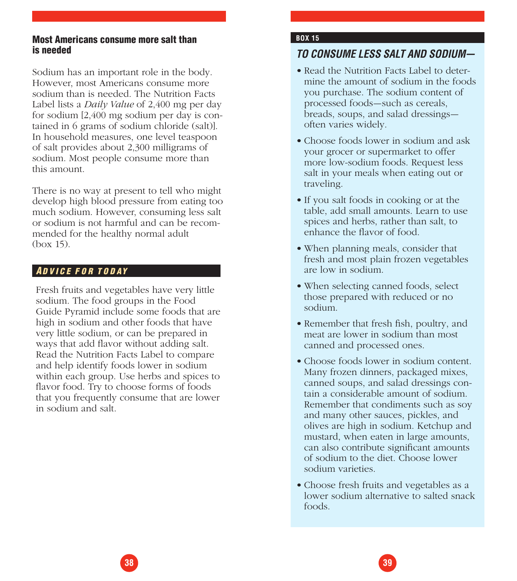## Most Americans consume more salt than is needed

Sodium has an important role in the body. However, most Americans consume more sodium than is needed. The Nutrition Facts Label lists a *Daily Value* of 2,400 mg per day for sodium [2,400 mg sodium per day is contained in 6 grams of sodium chloride (salt)]. In household measures, one level teaspoon of salt provides about 2,300 milligrams of sodium. Most people consume more than this amount.

There is no way at present to tell who might develop high blood pressure from eating too much sodium. However, consuming less salt or sodium is not harmful and can be recommended for the healthy normal adult (box 15).

## ADVICE FOR TODAY

Fresh fruits and vegetables have very little sodium. The food groups in the Food Guide Pyramid include some foods that are high in sodium and other foods that have very little sodium, or can be prepared in ways that add flavor without adding salt. Read the Nutrition Facts Label to compare and help identify foods lower in sodium within each group. Use herbs and spices to flavor food. Try to choose forms of foods that you frequently consume that are lower in sodium and salt.

#### **BOX 15**

## **TO CONSUME LESS SALT AND SODIUM—**

- Read the Nutrition Facts Label to determine the amount of sodium in the foods you purchase. The sodium content of processed foods—such as cereals, breads, soups, and salad dressings often varies widely.
- Choose foods lower in sodium and ask your grocer or supermarket to offer more low-sodium foods. Request less salt in your meals when eating out or traveling.
- If you salt foods in cooking or at the table, add small amounts. Learn to use spices and herbs, rather than salt, to enhance the flavor of food.
- When planning meals, consider that fresh and most plain frozen vegetables are low in sodium.
- When selecting canned foods, select those prepared with reduced or no sodium.
- Remember that fresh fish, poultry, and meat are lower in sodium than most canned and processed ones.
- Choose foods lower in sodium content. Many frozen dinners, packaged mixes, canned soups, and salad dressings contain a considerable amount of sodium. Remember that condiments such as soy and many other sauces, pickles, and olives are high in sodium. Ketchup and mustard, when eaten in large amounts, can also contribute significant amounts of sodium to the diet. Choose lower sodium varieties.
- Choose fresh fruits and vegetables as a lower sodium alternative to salted snack foods.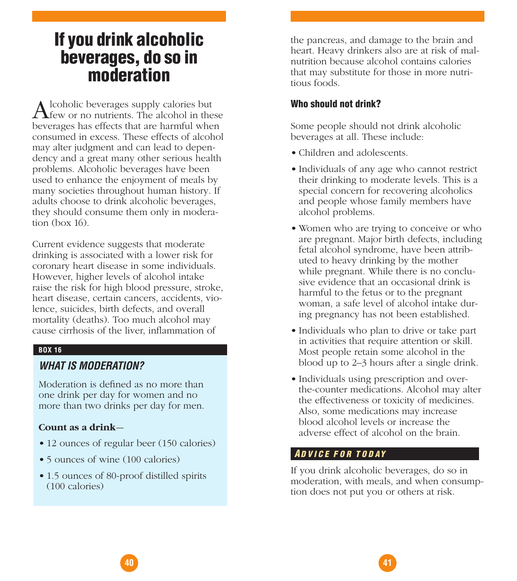## If you drink alcoholic beverages, do so in moderation

Alcoholic beverages supply calories but<br>few or no nutrients. The alcohol in these beverages has effects that are harmful when consumed in excess. These effects of alcohol may alter judgment and can lead to dependency and a great many other serious health problems. Alcoholic beverages have been used to enhance the enjoyment of meals by many societies throughout human history. If adults choose to drink alcoholic beverages, they should consume them only in moderation (box  $16$ ).

Current evidence suggests that moderate drinking is associated with a lower risk for coronary heart disease in some individuals. However, higher levels of alcohol intake raise the risk for high blood pressure, stroke, heart disease, certain cancers, accidents, violence, suicides, birth defects, and overall mortality (deaths). Too much alcohol may cause cirrhosis of the liver, inflammation of

#### **BOX 16**

## **WHAT IS MODERATION?**

Moderation is defined as no more than one drink per day for women and no more than two drinks per day for men.

## **Count as a drink**—

- 12 ounces of regular beer (150 calories)
- 5 ounces of wine (100 calories)
- 1.5 ounces of 80-proof distilled spirits (100 calories)

the pancreas, and damage to the brain and heart. Heavy drinkers also are at risk of malnutrition because alcohol contains calories that may substitute for those in more nutritious foods.

## Who should not drink?

Some people should not drink alcoholic beverages at all. These include:

- Children and adolescents.
- Individuals of any age who cannot restrict their drinking to moderate levels. This is a special concern for recovering alcoholics and people whose family members have alcohol problems.
- Women who are trying to conceive or who are pregnant. Major birth defects, including fetal alcohol syndrome, have been attributed to heavy drinking by the mother while pregnant. While there is no conclusive evidence that an occasional drink is harmful to the fetus or to the pregnant woman, a safe level of alcohol intake during pregnancy has not been established.
- Individuals who plan to drive or take part in activities that require attention or skill. Most people retain some alcohol in the blood up to 2–3 hours after a single drink.
- Individuals using prescription and overthe-counter medications. Alcohol may alter the effectiveness or toxicity of medicines. Also, some medications may increase blood alcohol levels or increase the adverse effect of alcohol on the brain.

## ADVICE FOR TODAY

If you drink alcoholic beverages, do so in moderation, with meals, and when consumption does not put you or others at risk.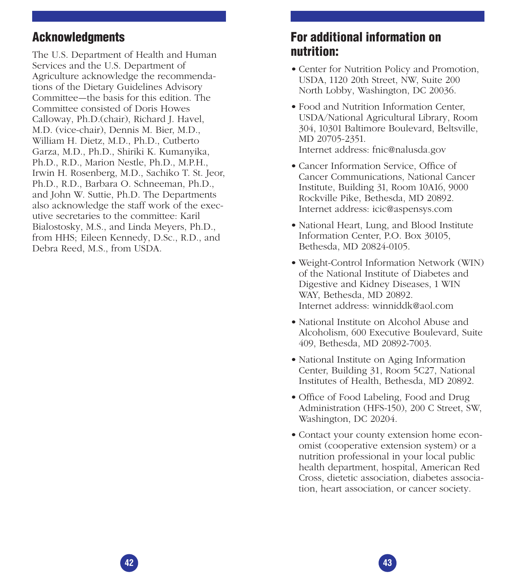## **Acknowledgments**

The U.S. Department of Health and Human Services and the U.S. Department of Agriculture acknowledge the recommendations of the Dietary Guidelines Advisory Committee—the basis for this edition. The Committee consisted of Doris Howes Calloway, Ph.D.(chair), Richard J. Havel, M.D. (vice-chair), Dennis M. Bier, M.D., William H. Dietz, M.D., Ph.D., Cutberto Garza, M.D., Ph.D., Shiriki K. Kumanyika, Ph.D., R.D., Marion Nestle, Ph.D., M.P.H., Irwin H. Rosenberg, M.D., Sachiko T. St. Jeor, Ph.D., R.D., Barbara O. Schneeman, Ph.D., and John W. Suttie, Ph.D. The Departments also acknowledge the staff work of the executive secretaries to the committee: Karil Bialostosky, M.S., and Linda Meyers, Ph.D., from HHS; Eileen Kennedy, D.Sc., R.D., and Debra Reed, M.S., from USDA.

## For additional information on nutrition:

- Center for Nutrition Policy and Promotion, USDA, 1120 20th Street, NW, Suite 200 North Lobby, Washington, DC 20036.
- Food and Nutrition Information Center, USDA/National Agricultural Library, Room 304, 10301 Baltimore Boulevard, Beltsville, MD 20705-2351. Internet address: fnic@nalusda.gov
- Cancer Information Service, Office of Cancer Communications, National Cancer Institute, Building 31, Room 10A16, 9000 Rockville Pike, Bethesda, MD 20892. Internet address: icic@aspensys.com
- National Heart, Lung, and Blood Institute Information Center, P.O. Box 30105, Bethesda, MD 20824-0105.
- Weight-Control Information Network (WIN) of the National Institute of Diabetes and Digestive and Kidney Diseases, 1 WIN WAY, Bethesda, MD 20892. Internet address: winniddk@aol.com
- National Institute on Alcohol Abuse and Alcoholism, 600 Executive Boulevard, Suite 409, Bethesda, MD 20892-7003.
- National Institute on Aging Information Center, Building 31, Room 5C27, National Institutes of Health, Bethesda, MD 20892.
- Office of Food Labeling, Food and Drug Administration (HFS-150), 200 C Street, SW, Washington, DC 20204.
- Contact your county extension home economist (cooperative extension system) or a nutrition professional in your local public health department, hospital, American Red Cross, dietetic association, diabetes association, heart association, or cancer society.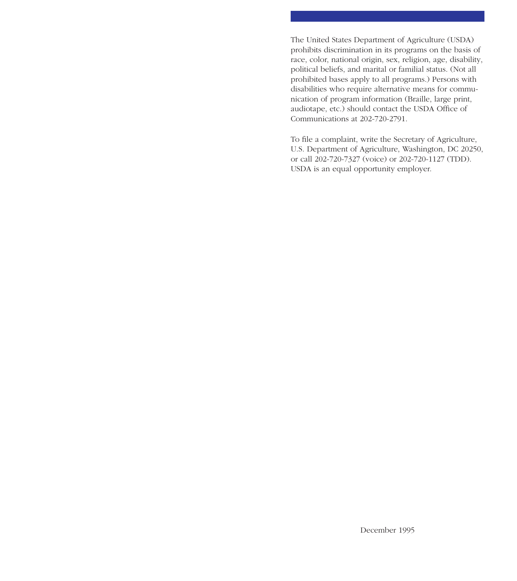The United States Department of Agriculture (USDA) prohibits discrimination in its programs on the basis of race, color, national origin, sex, religion, age, disability, political beliefs, and marital or familial status. (Not all prohibited bases apply to all programs.) Persons with disabilities who require alternative means for communication of program information (Braille, large print, audiotape, etc.) should contact the USDA Office of Communications at 202-720-2791.

To file a complaint, write the Secretary of Agriculture, U.S. Department of Agriculture, Washington, DC 20250, or call 202-720-7327 (voice) or 202-720-1127 (TDD). USDA is an equal opportunity employer.